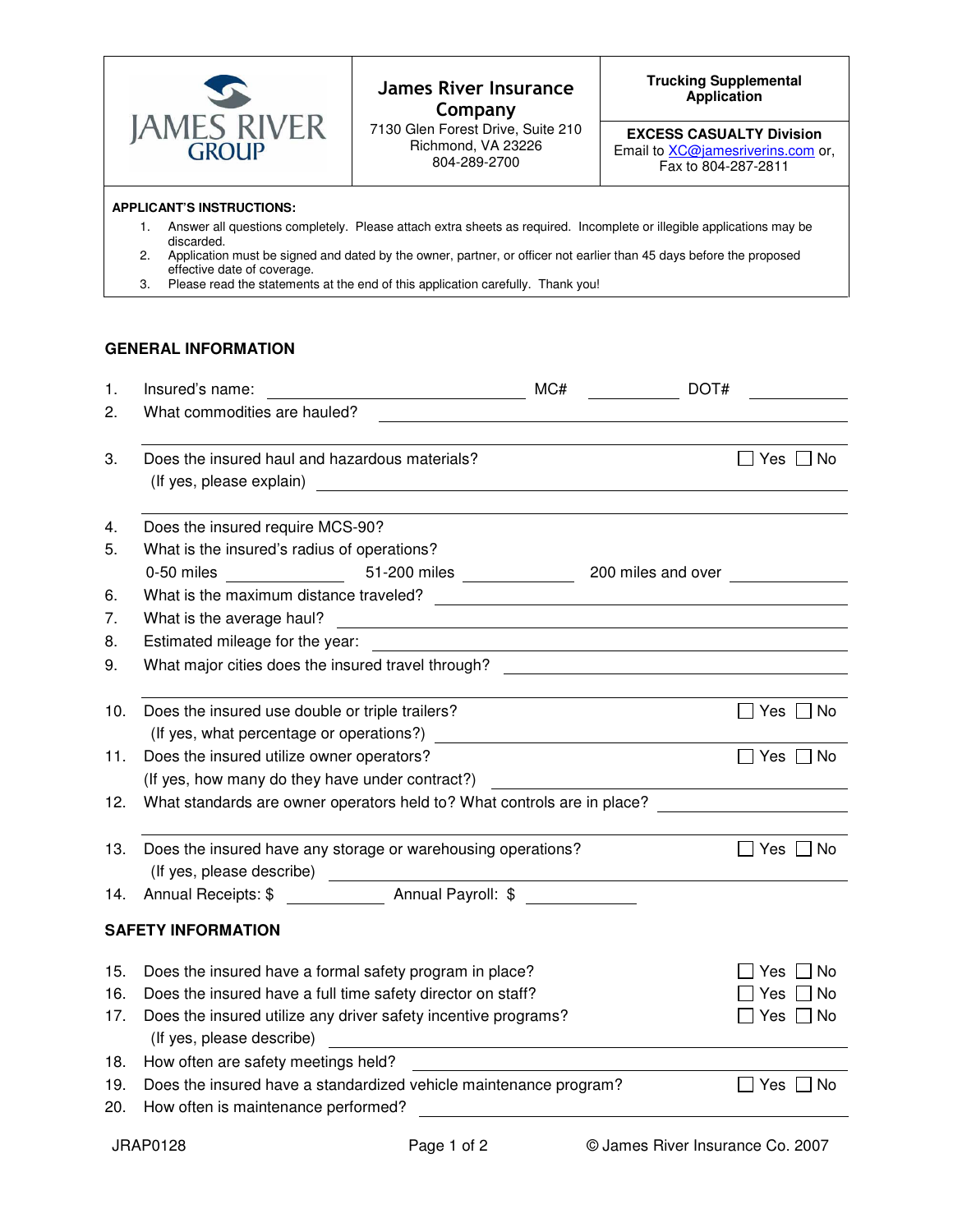

## **James River Insurance** Company

7130 Glen Forest Drive, Suite 210 Richmond, VA 23226 804-289-2700

## **Trucking Supplemental**

**EXCESS CASUALTY Division**  Email to **XC@jamesriverins.com** or, Fax to 804-287-2811

## **APPLICANT'S INSTRUCTIONS:**

- 1. Answer all questions completely. Please attach extra sheets as required. Incomplete or illegible applications may be discarded.
- 2. Application must be signed and dated by the owner, partner, or officer not earlier than 45 days before the proposed effective date of coverage.
- 3. Please read the statements at the end of this application carefully. Thank you!

## **GENERAL INFORMATION**

| 1.  | Insured's name:<br><u> 1989 - Johann Harry Barn, mars ar breist fan de Fryske kommunent (</u>                                                      | MC# | DOT#               |                      |
|-----|----------------------------------------------------------------------------------------------------------------------------------------------------|-----|--------------------|----------------------|
| 2.  | What commodities are hauled?                                                                                                                       |     |                    |                      |
|     |                                                                                                                                                    |     |                    |                      |
| 3.  | Does the insured haul and hazardous materials?                                                                                                     |     |                    | ]Yes [<br>∩ No       |
|     | (If yes, please explain)                                                                                                                           |     |                    |                      |
|     |                                                                                                                                                    |     |                    |                      |
| 4.  | Does the insured require MCS-90?                                                                                                                   |     |                    |                      |
| 5.  | What is the insured's radius of operations?                                                                                                        |     |                    |                      |
|     | 51-200 miles ______________<br>0-50 miles                                                                                                          |     | 200 miles and over |                      |
| 6.  |                                                                                                                                                    |     |                    |                      |
| 7.  | What is the average haul?<br><u> 1989 - Johann Stein, marwolaethau a bhann an t-Amhain Aonaichte ann an t-Amhain Aonaichte ann an t-Amhain Aon</u> |     |                    |                      |
| 8.  | Estimated mileage for the year:                                                                                                                    |     |                    |                      |
| 9.  | What major cities does the insured travel through? The manuscription of the major cities does the insured travel                                   |     |                    |                      |
|     |                                                                                                                                                    |     |                    |                      |
| 10. | Does the insured use double or triple trailers?                                                                                                    |     |                    | 7 Yes ∫<br>  No      |
|     | (If yes, what percentage or operations?)                                                                                                           |     |                    |                      |
| 11. | Does the insured utilize owner operators?                                                                                                          |     |                    | $\Box$ Yes $\Box$ No |
|     | (If yes, how many do they have under contract?)                                                                                                    |     |                    |                      |
| 12. | What standards are owner operators held to? What controls are in place?                                                                            |     |                    |                      |
|     |                                                                                                                                                    |     |                    |                      |
| 13. | Does the insured have any storage or warehousing operations?                                                                                       |     |                    | 7 Yes 「<br>∩ No      |
|     |                                                                                                                                                    |     |                    |                      |
| 14. | Annual Receipts: \$ Annual Payroll: \$                                                                                                             |     |                    |                      |
|     |                                                                                                                                                    |     |                    |                      |
|     | <b>SAFETY INFORMATION</b>                                                                                                                          |     |                    |                      |
| 15. | Does the insured have a formal safety program in place?                                                                                            |     |                    | 7 No<br>Yes          |
| 16. | Does the insured have a full time safety director on staff?                                                                                        |     |                    | No<br>Yes            |
| 17. | Does the insured utilize any driver safety incentive programs?                                                                                     |     |                    | ]Yes □ No            |
|     | (If yes, please describe)                                                                                                                          |     |                    |                      |
| 18. | How often are safety meetings held?                                                                                                                |     |                    |                      |
| 19. | Does the insured have a standardized vehicle maintenance program?                                                                                  |     |                    | Yes<br>No            |
| 20. | How often is maintenance performed?                                                                                                                |     |                    |                      |